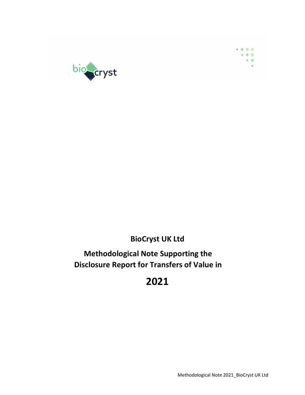



## BioCryst UK Ltd

## Methodological Note Supporting the Disclosure Report for Transfers of Value in

# 2021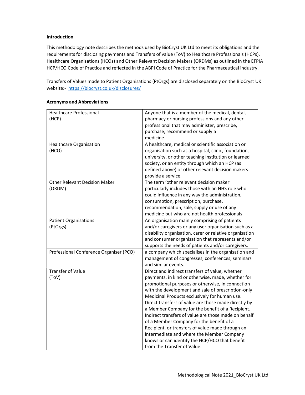#### Introduction

This methodology note describes the methods used by BioCryst UK Ltd to meet its obligations and the requirements for disclosing payments and Transfers of value (ToV) to Healthcare Professionals (HCPs), Healthcare Organisations (HCOs) and Other Relevant Decision Makers (ORDMs) as outlined in the EFPIA HCP/HCO Code of Practice and reflected in the ABPI Code of Practice for the Pharmaceutical industry.

Transfers of Values made to Patient Organisations (PtOrgs) are disclosed separately on the BioCryst UK website:- https://biocryst.co.uk/disclosures/

| <b>Healthcare Professional</b>          | Anyone that is a member of the medical, dental,         |
|-----------------------------------------|---------------------------------------------------------|
| (HCP)                                   | pharmacy or nursing professions and any other           |
|                                         |                                                         |
|                                         | professional that may administer, prescribe,            |
|                                         | purchase, recommend or supply a                         |
|                                         | medicine.                                               |
| Healthcare Organisation                 | A healthcare, medical or scientific association or      |
| (HCO)                                   | organisation such as a hospital, clinic, foundation,    |
|                                         | university, or other teaching institution or learned    |
|                                         | society, or an entity through which an HCP (as          |
|                                         | defined above) or other relevant decision makers        |
|                                         | provide a service.                                      |
| <b>Other Relevant Decision Maker</b>    | The term 'other relevant decision maker'                |
| (ORDM)                                  | particularly includes those with an NHS role who        |
|                                         | could influence in any way the administration,          |
|                                         | consumption, prescription, purchase,                    |
|                                         | recommendation, sale, supply or use of any              |
|                                         | medicine but who are not health professionals           |
| <b>Patient Organisations</b>            | An organisation mainly comprising of patients           |
| (PtOrgs)                                | and/or caregivers or any user organisation such as a    |
|                                         | disability organisation, carer or relative organisation |
|                                         | and consumer organisation that represents and/or        |
|                                         | supports the needs of patients and/or caregivers.       |
| Professional Conference Organiser (PCO) | a company which specialises in the organisation and     |
|                                         | management of congresses, conferences, seminars         |
|                                         | and similar events.                                     |
| <b>Transfer of Value</b>                | Direct and indirect transfers of value, whether         |
| (ToV)                                   | payments, in kind or otherwise, made, whether for       |
|                                         | promotional purposes or otherwise, in connection        |
|                                         | with the development and sale of prescription-only      |
|                                         | Medicinal Products exclusively for human use.           |
|                                         | Direct transfers of value are those made directly by    |
|                                         | a Member Company for the benefit of a Recipient.        |
|                                         | Indirect transfers of value are those made on behalf    |
|                                         | of a Member Company for the benefit of a                |
|                                         | Recipient, or transfers of value made through an        |
|                                         | intermediate and where the Member Company               |
|                                         | knows or can identify the HCP/HCO that benefit          |
|                                         | from the Transfer of Value.                             |

#### Acronyms and Abbreviations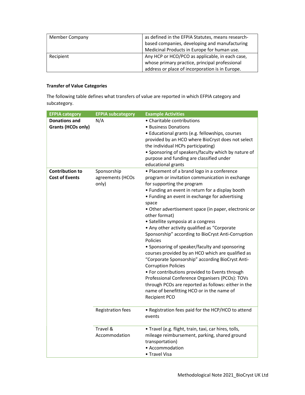| <b>Member Company</b> | as defined in the EFPIA Statutes, means research- |
|-----------------------|---------------------------------------------------|
|                       | based companies, developing and manufacturing     |
|                       | Medicinal Products in Europe for human use.       |
| Recipient             | Any HCP or HCO/PCO as applicable, in each case,   |
|                       | whose primary practice, principal professional    |
|                       | address or place of incorporation is in Europe.   |

### Transfer of Value Categories

The following table defines what transfers of value are reported in which EFPIA category and subcategory.

| <b>EFPIA category</b>                             | <b>EFPIA subcategory</b>                       | <b>Example Activities</b>                                                                                                                                                                                                                                                                                                                                                                                                                                                                                                                                                                                                                                                                                                                                                                                                                                                                              |
|---------------------------------------------------|------------------------------------------------|--------------------------------------------------------------------------------------------------------------------------------------------------------------------------------------------------------------------------------------------------------------------------------------------------------------------------------------------------------------------------------------------------------------------------------------------------------------------------------------------------------------------------------------------------------------------------------------------------------------------------------------------------------------------------------------------------------------------------------------------------------------------------------------------------------------------------------------------------------------------------------------------------------|
| <b>Donations and</b><br><b>Grants (HCOs only)</b> | N/A                                            | • Charitable contributions<br>• Business Donations<br>· Educational grants (e.g. fellowships, courses<br>provided by an HCO where BioCryst does not select<br>the individual HCPs participating)<br>• Sponsoring of speakers/faculty which by nature of<br>purpose and funding are classified under<br>educational grants                                                                                                                                                                                                                                                                                                                                                                                                                                                                                                                                                                              |
| <b>Contribution to</b><br><b>Cost of Events</b>   | Sponsorship<br>agreements (HCOs<br>only)       | • Placement of a brand logo in a conference<br>program or invitation communication in exchange<br>for supporting the program<br>• Funding an event in return for a display booth<br>• Funding an event in exchange for advertising<br>space<br>• Other advertisement space (in paper, electronic or<br>other format)<br>• Satellite symposia at a congress<br>• Any other activity qualified as "Corporate<br>Sponsorship" according to BioCryst Anti-Corruption<br>Policies<br>• Sponsoring of speaker/faculty and sponsoring<br>courses provided by an HCO which are qualified as<br>"Corporate Sponsorship" according BioCryst Anti-<br><b>Corruption Policies</b><br>• For contributions provided to Events through<br>Professional Conference Organisers (PCOs): TOVs<br>through PCOs are reported as follows: either in the<br>name of benefitting HCO or in the name of<br><b>Recipient PCO</b> |
|                                                   | Registration fees<br>Travel &<br>Accommodation | • Registration fees paid for the HCP/HCO to attend<br>events<br>· Travel (e.g. flight, train, taxi, car hires, tolls,<br>mileage reimbursement, parking, shared ground<br>transportation)<br>• Accommodation<br>• Travel Visa                                                                                                                                                                                                                                                                                                                                                                                                                                                                                                                                                                                                                                                                          |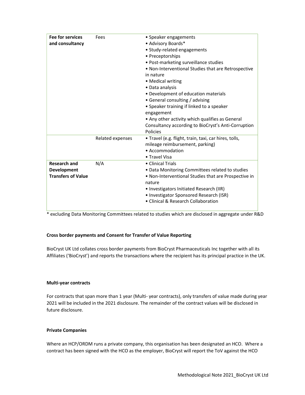| <b>Fee for services</b><br>and consultancy                             | Fees             | • Speaker engagements<br>• Advisory Boards*<br>· Study-related engagements<br>• Preceptorships<br>• Post-marketing surveillance studies<br>• Non-Interventional Studies that are Retrospective<br>in nature<br>• Medical writing<br>• Data analysis<br>· Development of education materials<br>• General consulting / advising<br>• Speaker training if linked to a speaker<br>engagement<br>• Any other activity which qualifies as General<br>Consultancy according to BioCryst's Anti-Corruption<br>Policies |
|------------------------------------------------------------------------|------------------|-----------------------------------------------------------------------------------------------------------------------------------------------------------------------------------------------------------------------------------------------------------------------------------------------------------------------------------------------------------------------------------------------------------------------------------------------------------------------------------------------------------------|
|                                                                        | Related expenses | · Travel (e.g. flight, train, taxi, car hires, tolls,<br>mileage reimbursement, parking)<br>• Accommodation<br>• Travel Visa                                                                                                                                                                                                                                                                                                                                                                                    |
| <b>Research and</b><br><b>Development</b><br><b>Transfers of Value</b> | N/A              | • Clinical Trials<br>• Data Monitoring Committees related to studies<br>• Non-Interventional Studies that are Prospective in<br>nature<br>• Investigators Initiated Research (IIR)<br>• Investigator Sponsored Research (ISR)<br>• Clinical & Research Collaboration                                                                                                                                                                                                                                            |

\* excluding Data Monitoring Committees related to studies which are disclosed in aggregate under R&D

#### Cross border payments and Consent for Transfer of Value Reporting

BioCryst UK Ltd collates cross border payments from BioCryst Pharmaceuticals Inc together with all its Affiliates ('BioCryst') and reports the transactions where the recipient has its principal practice in the UK.

#### Multi-year contracts

For contracts that span more than 1 year (Multi- year contracts), only transfers of value made during year 2021 will be included in the 2021 disclosure. The remainder of the contract values will be disclosed in future disclosure.

#### Private Companies

Where an HCP/ORDM runs a private company, this organisation has been designated an HCO. Where a contract has been signed with the HCO as the employer, BioCryst will report the ToV against the HCO